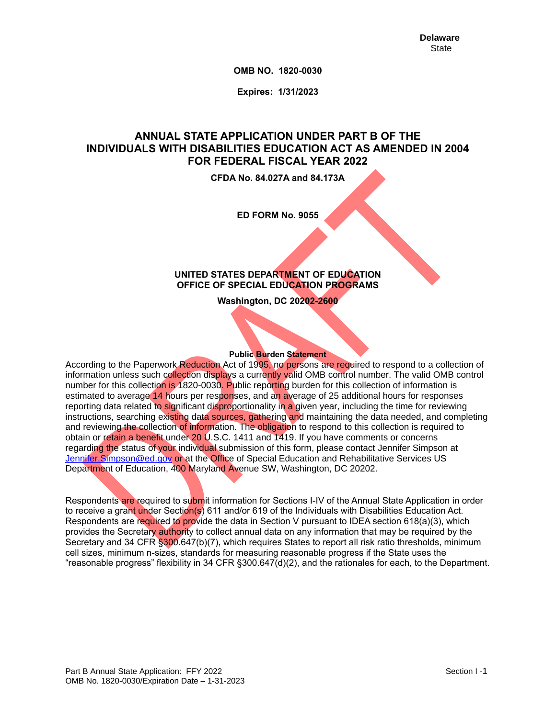**OMB NO. 1820-0030**

**Expires: 1/31/2023**

# **ANNUAL STATE APPLICATION UNDER PART B OF THE INDIVIDUALS WITH DISABILITIES EDUCATION ACT AS AMENDED IN 2004 FOR FEDERAL FISCAL YEAR 2022**

**CFDA No. 84.027A and 84.173A**

**ED FORM No. 9055**

#### **UNITED STATES DEPARTMENT OF EDUCATION OFFICE OF SPECIAL EDUCATION PROGRAMS**

**Washington, DC 20202-2600**

### **Public Burden Statement**

According to the Paperwork Reduction Act of 1995, no persons are required to respond to a collection of information unless such collection displays a currently valid OMB control number. The valid OMB control number for this collection is 1820-0030. Public reporting burden for this collection of information is estimated to average 14 hours per responses, and an average of 25 additional hours for responses reporting data related to significant disproportionality in a given year, including the time for reviewing instructions, searching existing data sources, gathering and maintaining the data needed, and completing and reviewing the collection of information. The obligation to respond to this collection is required to obtain or retain a benefit under 20 U.S.C. 1411 and 1419. If you have comments or concerns regarding the status of your individual submission of this form, please contact Jennifer Simpson at [Jennifer.Simpson@ed.gov](mailto:Jennifer.Simpson@ed.gov) or at the Office of Special Education and Rehabilitative Services US Department of Education, 400 Maryland Avenue SW, Washington, DC 20202.

Respondents are required to submit information for Sections I-IV of the Annual State Application in order to receive a grant under Section(s) 611 and/or 619 of the Individuals with Disabilities Education Act. Respondents are required to provide the data in Section V pursuant to IDEA section 618(a)(3), which provides the Secretary authority to collect annual data on any information that may be required by the Secretary and 34 CFR §300.647(b)(7), which requires States to report all risk ratio thresholds, minimum cell sizes, minimum n-sizes, standards for measuring reasonable progress if the State uses the "reasonable progress" flexibility in 34 CFR §300.647(d)(2), and the rationales for each, to the Department.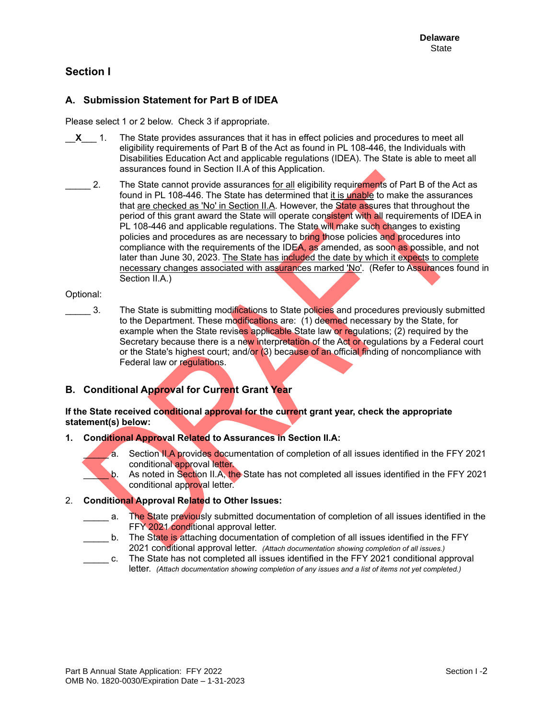# **Section I**

### **A. Submission Statement for Part B of IDEA**

Please select 1 or 2 below. Check 3 if appropriate.

- \_\_**X**\_\_\_ 1. The State provides assurances that it has in effect policies and procedures to meet all eligibility requirements of Part B of the Act as found in PL 108-446, the Individuals with Disabilities Education Act and applicable regulations (IDEA). The State is able to meet all assurances found in Section II.A of this Application.
- 2. The State cannot provide assurances for all eligibility requirements of Part B of the Act as found in PL 108-446. The State has determined that it is unable to make the assurances that are checked as 'No' in Section II.A. However, the State assures that throughout the period of this grant award the State will operate consistent with all requirements of IDEA in PL 108-446 and applicable regulations. The State will make such changes to existing policies and procedures as are necessary to bring those policies and procedures into compliance with the requirements of the IDEA, as amended, as soon as possible, and not later than June 30, 2023. The State has included the date by which it expects to complete necessary changes associated with assurances marked 'No'. (Refer to Assurances found in Section II.A.)

#### Optional:

3. The State is submitting modifications to State policies and procedures previously submitted to the Department. These modifications are: (1) deemed necessary by the State, for example when the State revises applicable State law or regulations; (2) required by the Secretary because there is a new interpretation of the Act or regulations by a Federal court or the State's highest court; and/or (3) because of an official finding of noncompliance with Federal law or regulations.

### **B. Conditional Approval for Current Grant Year**

**If the State received conditional approval for the current grant year, check the appropriate statement(s) below:**

#### **1. Conditional Approval Related to Assurances in Section II.A:**

- a. Section II.A provides documentation of completion of all issues identified in the FFY 2021 conditional approval letter.
- b. As noted in Section II.A, the State has not completed all issues identified in the FFY 2021 conditional approval letter.

### 2. **Conditional Approval Related to Other Issues:**

- a. The State previously submitted documentation of completion of all issues identified in the FFY 2021 conditional approval letter.
- b. The State is attaching documentation of completion of all issues identified in the FFY 2021 conditional approval letter. *(Attach documentation showing completion of all issues.)*
- \_\_\_\_\_ c. The State has not completed all issues identified in the FFY 2021 conditional approval letter. *(Attach documentation showing completion of any issues and a list of items not yet completed.)*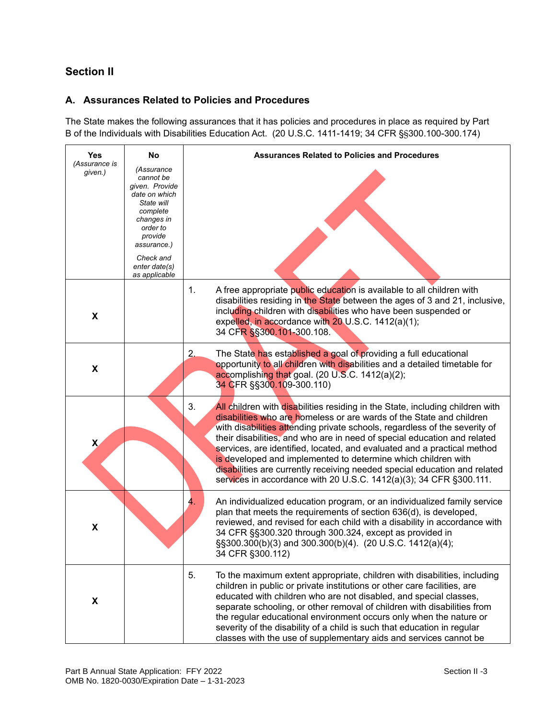# **Section II**

## **A. Assurances Related to Policies and Procedures**

The State makes the following assurances that it has policies and procedures in place as required by Part B of the Individuals with Disabilities Education Act. (20 U.S.C. 1411-1419; 34 CFR §§300.100-300.174)

| Yes                      | No                                                                                                                                                                                      | <b>Assurances Related to Policies and Procedures</b>                                                                                                                                                                                                                                                                                                                                                                                                                                                                                                                                                                 |
|--------------------------|-----------------------------------------------------------------------------------------------------------------------------------------------------------------------------------------|----------------------------------------------------------------------------------------------------------------------------------------------------------------------------------------------------------------------------------------------------------------------------------------------------------------------------------------------------------------------------------------------------------------------------------------------------------------------------------------------------------------------------------------------------------------------------------------------------------------------|
| (Assurance is<br>given.) | (Assurance<br>cannot be<br>given. Provide<br>date on which<br>State will<br>complete<br>changes in<br>order to<br>provide<br>assurance.)<br>Check and<br>enter date(s)<br>as applicable |                                                                                                                                                                                                                                                                                                                                                                                                                                                                                                                                                                                                                      |
| X                        |                                                                                                                                                                                         | A free appropriate public education is available to all children with<br>1.<br>disabilities residing in the State between the ages of 3 and 21, inclusive,<br>including children with disabilities who have been suspended or<br>expelled, in accordance with 20 U.S.C. 1412(a)(1);<br>34 CFR §§300.101-300.108.                                                                                                                                                                                                                                                                                                     |
| X                        |                                                                                                                                                                                         | The State has established a goal of providing a full educational<br>2.<br>opportunity to all children with disabilities and a detailed timetable for<br>accomplishing that goal. (20 U.S.C. 1412(a)(2);<br>34 CFR §§300.109-300.110)                                                                                                                                                                                                                                                                                                                                                                                 |
| $\mathsf{x}$             |                                                                                                                                                                                         | 3.<br>All children with disabilities residing in the State, including children with<br>disabilities who are homeless or are wards of the State and children<br>with disabilities attending private schools, regardless of the severity of<br>their disabilities, and who are in need of special education and related<br>services, are identified, located, and evaluated and a practical method<br>is developed and implemented to determine which children with<br>disabilities are currently receiving needed special education and related<br>services in accordance with 20 U.S.C. 1412(a)(3); 34 CFR §300.111. |
| X                        |                                                                                                                                                                                         | 4.<br>An individualized education program, or an individualized family service<br>plan that meets the requirements of section 636(d), is developed,<br>reviewed, and revised for each child with a disability in accordance with<br>34 CFR §§300.320 through 300.324, except as provided in<br>§§300.300(b)(3) and 300.300(b)(4). (20 U.S.C. 1412(a)(4);<br>34 CFR §300.112)                                                                                                                                                                                                                                         |
| X                        |                                                                                                                                                                                         | 5.<br>To the maximum extent appropriate, children with disabilities, including<br>children in public or private institutions or other care facilities, are<br>educated with children who are not disabled, and special classes,<br>separate schooling, or other removal of children with disabilities from<br>the regular educational environment occurs only when the nature or<br>severity of the disability of a child is such that education in regular<br>classes with the use of supplementary aids and services cannot be                                                                                     |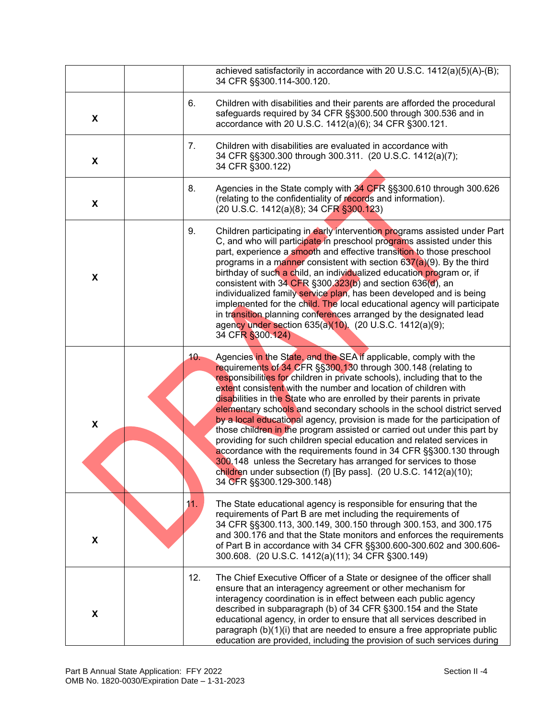|                    |     | achieved satisfactorily in accordance with 20 U.S.C. 1412(a)(5)(A)-(B);                                                                                                                                                                                                                                                                                                                                                                                                                                                                                                                                                                                                                                                                                                                                                                                                                                           |
|--------------------|-----|-------------------------------------------------------------------------------------------------------------------------------------------------------------------------------------------------------------------------------------------------------------------------------------------------------------------------------------------------------------------------------------------------------------------------------------------------------------------------------------------------------------------------------------------------------------------------------------------------------------------------------------------------------------------------------------------------------------------------------------------------------------------------------------------------------------------------------------------------------------------------------------------------------------------|
|                    |     | 34 CFR §§300.114-300.120.                                                                                                                                                                                                                                                                                                                                                                                                                                                                                                                                                                                                                                                                                                                                                                                                                                                                                         |
| X                  | 6.  | Children with disabilities and their parents are afforded the procedural<br>safeguards required by 34 CFR §§300.500 through 300.536 and in<br>accordance with 20 U.S.C. 1412(a)(6); 34 CFR §300.121.                                                                                                                                                                                                                                                                                                                                                                                                                                                                                                                                                                                                                                                                                                              |
| X                  | 7.  | Children with disabilities are evaluated in accordance with<br>34 CFR §§300.300 through 300.311. (20 U.S.C. 1412(a)(7);<br>34 CFR §300.122)                                                                                                                                                                                                                                                                                                                                                                                                                                                                                                                                                                                                                                                                                                                                                                       |
| X                  | 8.  | Agencies in the State comply with 34 CFR §§300.610 through 300.626<br>(relating to the confidentiality of records and information).<br>(20 U.S.C. 1412(a)(8); 34 CFR §300.123)                                                                                                                                                                                                                                                                                                                                                                                                                                                                                                                                                                                                                                                                                                                                    |
| X                  | 9.  | Children participating in early intervention programs assisted under Part<br>C, and who will participate in preschool programs assisted under this<br>part, experience a smooth and effective transition to those preschool<br>programs in a manner consistent with section $637(a)(9)$ . By the third<br>birthday of such a child, an individualized education program or, if<br>consistent with $34$ CFR §300.323(b) and section 636(d), an<br>individualized family service plan, has been developed and is being<br>implemented for the child. The local educational agency will participate<br>in transition planning conferences arranged by the designated lead<br>agency under section 635(a)(10). (20 U.S.C. 1412(a)(9);<br>34 CFR §300.124)                                                                                                                                                             |
| $\pmb{\mathsf{X}}$ | 10. | Agencies in the State, and the SEA if applicable, comply with the<br>requirements of 34 CFR §§300.130 through 300.148 (relating to<br>responsibilities for children in private schools), including that to the<br>extent consistent with the number and location of children with<br>disabilities in the State who are enrolled by their parents in private<br>elementary schools and secondary schools in the school district served<br>by a local educational agency, provision is made for the participation of<br>those children in the program assisted or carried out under this part by<br>providing for such children special education and related services in<br>accordance with the requirements found in 34 CFR §§300.130 through<br>300.148 unless the Secretary has arranged for services to those<br>children under subsection (f) [By pass]. (20 U.S.C. 1412(a)(10);<br>34 CFR §§300.129-300.148) |
| X                  | 11. | The State educational agency is responsible for ensuring that the<br>requirements of Part B are met including the requirements of<br>34 CFR §§300.113, 300.149, 300.150 through 300.153, and 300.175<br>and 300.176 and that the State monitors and enforces the requirements<br>of Part B in accordance with 34 CFR §§300.600-300.602 and 300.606-<br>300.608. (20 U.S.C. 1412(a)(11); 34 CFR §300.149)                                                                                                                                                                                                                                                                                                                                                                                                                                                                                                          |
| X                  | 12. | The Chief Executive Officer of a State or designee of the officer shall<br>ensure that an interagency agreement or other mechanism for<br>interagency coordination is in effect between each public agency<br>described in subparagraph (b) of 34 CFR §300.154 and the State<br>educational agency, in order to ensure that all services described in<br>paragraph (b)(1)(i) that are needed to ensure a free appropriate public<br>education are provided, including the provision of such services during                                                                                                                                                                                                                                                                                                                                                                                                       |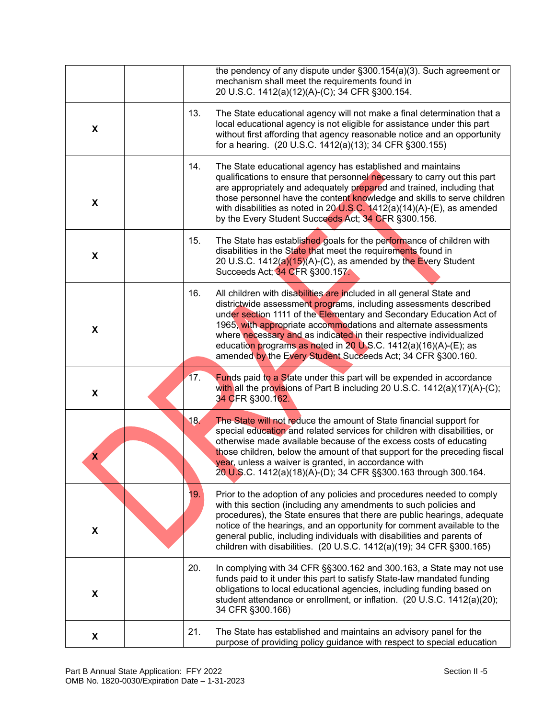|                    |     | the pendency of any dispute under §300.154(a)(3). Such agreement or<br>mechanism shall meet the requirements found in<br>20 U.S.C. 1412(a)(12)(A)-(C); 34 CFR §300.154.                                                                                                                                                                                                                                                                                                                      |
|--------------------|-----|----------------------------------------------------------------------------------------------------------------------------------------------------------------------------------------------------------------------------------------------------------------------------------------------------------------------------------------------------------------------------------------------------------------------------------------------------------------------------------------------|
| X                  | 13. | The State educational agency will not make a final determination that a<br>local educational agency is not eligible for assistance under this part<br>without first affording that agency reasonable notice and an opportunity<br>for a hearing. (20 U.S.C. 1412(a)(13); 34 CFR §300.155)                                                                                                                                                                                                    |
| X                  | 14. | The State educational agency has established and maintains<br>qualifications to ensure that personnel necessary to carry out this part<br>are appropriately and adequately prepared and trained, including that<br>those personnel have the content knowledge and skills to serve children<br>with disabilities as noted in $20$ U.S.C. 1412(a)(14)(A)-(E), as amended<br>by the Every Student Succeeds Act; 34 CFR §300.156.                                                                |
| X                  | 15. | The State has established goals for the performance of children with<br>disabilities in the State that meet the requirements found in<br>20 U.S.C. $1412(a)(15)(A)-(C)$ , as amended by the Every Student<br>Succeeds Act; 34 CFR §300.157.                                                                                                                                                                                                                                                  |
| X                  | 16. | All children with disabilities are included in all general State and<br>districtwide assessment programs, including assessments described<br>under section 1111 of the Elementary and Secondary Education Act of<br>1965, with appropriate accommodations and alternate assessments<br>where necessary and as indicated in their respective individualized<br>education programs as noted in 20 U.S.C. 1412(a)(16)(A)-(E); as<br>amended by the Every Student Succeeds Act; 34 CFR §300.160. |
| X                  | 17. | Funds paid to a State under this part will be expended in accordance<br>with all the provisions of Part B including 20 U.S.C. 1412(a)(17)(A)-(C);<br>34 CFR §300.162.                                                                                                                                                                                                                                                                                                                        |
| X                  | 18. | The State will not reduce the amount of State financial support for<br>special education and related services for children with disabilities, or<br>otherwise made available because of the excess costs of educating<br>those children, below the amount of that support for the preceding fiscal<br>year, unless a waiver is granted, in accordance with<br>20 U.S.C. 1412(a)(18)(A)-(D); 34 CFR §§300.163 through 300.164.                                                                |
| $\pmb{\mathsf{X}}$ | 19. | Prior to the adoption of any policies and procedures needed to comply<br>with this section (including any amendments to such policies and<br>procedures), the State ensures that there are public hearings, adequate<br>notice of the hearings, and an opportunity for comment available to the<br>general public, including individuals with disabilities and parents of<br>children with disabilities. (20 U.S.C. 1412(a)(19); 34 CFR §300.165)                                            |
| X                  | 20. | In complying with 34 CFR §§300.162 and 300.163, a State may not use<br>funds paid to it under this part to satisfy State-law mandated funding<br>obligations to local educational agencies, including funding based on<br>student attendance or enrollment, or inflation. (20 U.S.C. 1412(a)(20);<br>34 CFR §300.166)                                                                                                                                                                        |
| X                  | 21. | The State has established and maintains an advisory panel for the<br>purpose of providing policy guidance with respect to special education                                                                                                                                                                                                                                                                                                                                                  |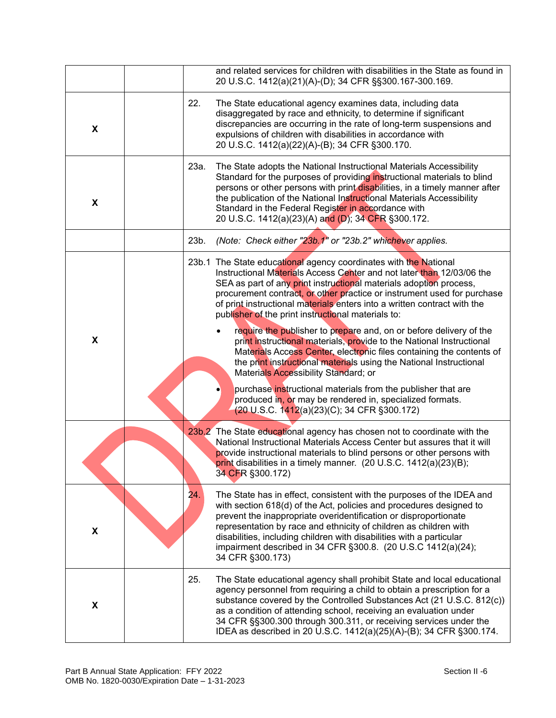|                    |      | and related services for children with disabilities in the State as found in<br>20 U.S.C. 1412(a)(21)(A)-(D); 34 CFR §§300.167-300.169.                                                                                                                                                                                                                                                                                                            |
|--------------------|------|----------------------------------------------------------------------------------------------------------------------------------------------------------------------------------------------------------------------------------------------------------------------------------------------------------------------------------------------------------------------------------------------------------------------------------------------------|
| X                  | 22.  | The State educational agency examines data, including data<br>disaggregated by race and ethnicity, to determine if significant<br>discrepancies are occurring in the rate of long-term suspensions and<br>expulsions of children with disabilities in accordance with<br>20 U.S.C. 1412(a)(22)(A)-(B); 34 CFR §300.170.                                                                                                                            |
| X                  | 23a. | The State adopts the National Instructional Materials Accessibility<br>Standard for the purposes of providing instructional materials to blind<br>persons or other persons with print disabilities, in a timely manner after<br>the publication of the National Instructional Materials Accessibility<br>Standard in the Federal Register in accordance with<br>20 U.S.C. 1412(a)(23)(A) and (D); 34 CFR §300.172.                                 |
|                    | 23b. | (Note: Check either "23b.1" or "23b.2" whichever applies.                                                                                                                                                                                                                                                                                                                                                                                          |
|                    |      | 23b.1 The State educational agency coordinates with the National<br>Instructional Materials Access Center and not later than 12/03/06 the<br>SEA as part of any print instructional materials adoption process,<br>procurement contract, or other practice or instrument used for purchase<br>of print instructional materials enters into a written contract with the<br>publisher of the print instructional materials to:                       |
| X                  |      | require the publisher to prepare and, on or before delivery of the<br>print instructional materials, provide to the National Instructional<br>Materials Access Center, electronic files containing the contents of<br>the print instructional materials using the National Instructional<br>Materials Accessibility Standard; or                                                                                                                   |
|                    |      | purchase instructional materials from the publisher that are<br>produced in, or may be rendered in, specialized formats.<br>(20 U.S.C. 1412(a)(23)(C); 34 CFR §300.172)                                                                                                                                                                                                                                                                            |
|                    |      | 23b,2 The State educational agency has chosen not to coordinate with the<br>National Instructional Materials Access Center but assures that it will<br>provide instructional materials to blind persons or other persons with<br>print disabilities in a timely manner. (20 U.S.C. 1412(a)(23)(B);<br>34 CFR §300.172)                                                                                                                             |
| $\pmb{\mathsf{X}}$ | 24.  | The State has in effect, consistent with the purposes of the IDEA and<br>with section 618(d) of the Act, policies and procedures designed to<br>prevent the inappropriate overidentification or disproportionate<br>representation by race and ethnicity of children as children with<br>disabilities, including children with disabilities with a particular<br>impairment described in 34 CFR §300.8. (20 U.S.C 1412(a)(24);<br>34 CFR §300.173) |
| X                  | 25.  | The State educational agency shall prohibit State and local educational<br>agency personnel from requiring a child to obtain a prescription for a<br>substance covered by the Controlled Substances Act (21 U.S.C. 812(c))<br>as a condition of attending school, receiving an evaluation under<br>34 CFR §§300.300 through 300.311, or receiving services under the<br>IDEA as described in 20 U.S.C. 1412(a)(25)(A)-(B); 34 CFR §300.174.        |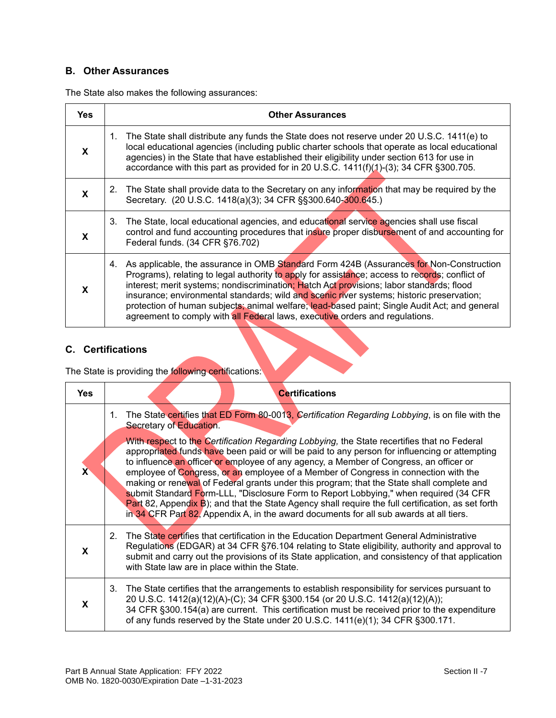## **B. Other Assurances**

The State also makes the following assurances:

| <b>Yes</b> | <b>Other Assurances</b>                                                                                                                                                                                                                                                                                                                                                                                                                                                                                                                                                |
|------------|------------------------------------------------------------------------------------------------------------------------------------------------------------------------------------------------------------------------------------------------------------------------------------------------------------------------------------------------------------------------------------------------------------------------------------------------------------------------------------------------------------------------------------------------------------------------|
| X          | 1. The State shall distribute any funds the State does not reserve under 20 U.S.C. 1411(e) to<br>local educational agencies (including public charter schools that operate as local educational<br>agencies) in the State that have established their eligibility under section 613 for use in<br>accordance with this part as provided for in 20 U.S.C. $1411(f)(1)-(3)$ ; 34 CFR §300.705.                                                                                                                                                                           |
| X          | The State shall provide data to the Secretary on any information that may be required by the<br>2.<br>Secretary. (20 U.S.C. 1418(a)(3); 34 CFR §§300.640-300.645.)                                                                                                                                                                                                                                                                                                                                                                                                     |
| X          | 3. The State, local educational agencies, and educational service agencies shall use fiscal<br>control and fund accounting procedures that insure proper disbursement of and accounting for<br>Federal funds. (34 CFR §76.702)                                                                                                                                                                                                                                                                                                                                         |
| X          | 4. As applicable, the assurance in OMB Standard Form 424B (Assurances for Non-Construction<br>Programs), relating to legal authority to apply for assistance; access to records; conflict of<br>interest; merit systems; nondiscrimination; Hatch Act provisions; labor standards; flood<br>insurance; environmental standards; wild and scenic river systems; historic preservation;<br>protection of human subjects; animal welfare; lead-based paint; Single Audit Act; and general<br>agreement to comply with all Federal laws, executive orders and regulations. |

×

## **C. Certifications**

The State is providing the following certifications:

| Yes | <b>Certifications</b>                                                                                                                                                                                                                                                                                                                                                                                                                                                                                                                                                                                                                                                                                                                                                                                                                                                                                   |
|-----|---------------------------------------------------------------------------------------------------------------------------------------------------------------------------------------------------------------------------------------------------------------------------------------------------------------------------------------------------------------------------------------------------------------------------------------------------------------------------------------------------------------------------------------------------------------------------------------------------------------------------------------------------------------------------------------------------------------------------------------------------------------------------------------------------------------------------------------------------------------------------------------------------------|
|     | The State certifies that ED Form 80-0013, Certification Regarding Lobbying, is on file with the<br>1.<br>Secretary of Education.<br>With respect to the Certification Regarding Lobbying, the State recertifies that no Federal<br>appropriated funds have been paid or will be paid to any person for influencing or attempting<br>to influence an officer or employee of any agency, a Member of Congress, an officer or<br>employee of Congress, or an employee of a Member of Congress in connection with the<br>making or renewal of Federal grants under this program; that the State shall complete and<br>submit Standard Form-LLL, "Disclosure Form to Report Lobbying," when required (34 CFR<br>Part 82, Appendix B); and that the State Agency shall require the full certification, as set forth<br>in 34 CFR Part 82, Appendix A, in the award documents for all sub awards at all tiers. |
| X   | 2. The State certifies that certification in the Education Department General Administrative<br>Regulations (EDGAR) at 34 CFR §76.104 relating to State eligibility, authority and approval to<br>submit and carry out the provisions of its State application, and consistency of that application<br>with State law are in place within the State.                                                                                                                                                                                                                                                                                                                                                                                                                                                                                                                                                    |
| X   | 3. The State certifies that the arrangements to establish responsibility for services pursuant to<br>20 U.S.C. 1412(a)(12)(A)-(C); 34 CFR §300.154 (or 20 U.S.C. 1412(a)(12)(A));<br>34 CFR §300.154(a) are current. This certification must be received prior to the expenditure<br>of any funds reserved by the State under 20 U.S.C. 1411(e)(1); 34 CFR §300.171.                                                                                                                                                                                                                                                                                                                                                                                                                                                                                                                                    |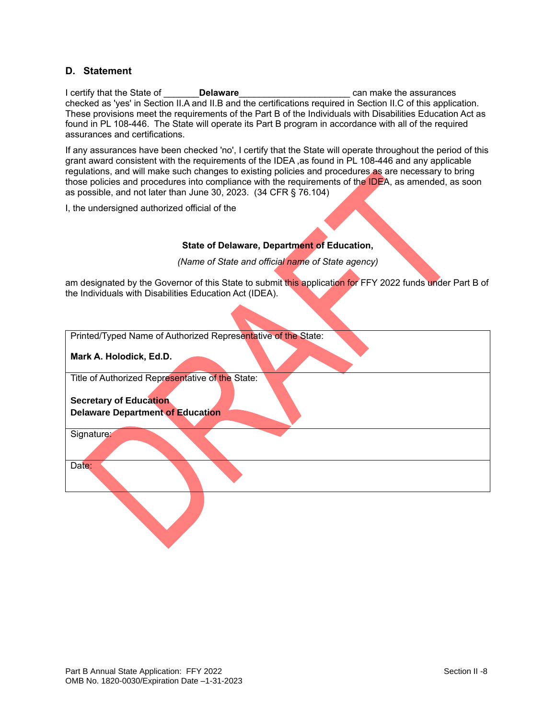#### **D. Statement**

I certify that the State of \_\_\_\_\_\_\_**Delaware**\_\_\_\_\_\_\_\_\_\_\_\_\_\_\_\_\_\_\_\_\_\_ can make the assurances checked as 'yes' in Section II.A and II.B and the certifications required in Section II.C of this application. These provisions meet the requirements of the Part B of the Individuals with Disabilities Education Act as found in PL 108-446. The State will operate its Part B program in accordance with all of the required assurances and certifications.

If any assurances have been checked 'no', I certify that the State will operate throughout the period of this grant award consistent with the requirements of the IDEA ,as found in PL 108-446 and any applicable regulations, and will make such changes to existing policies and procedures as are necessary to bring those policies and procedures into compliance with the requirements of the IDEA, as amended, as soon as possible, and not later than June 30, 2023. (34 CFR § 76.104)

I, the undersigned authorized official of the

### **State of Delaware, Department of Education,**

*(Name of State and official name of State agency)*

am designated by the Governor of this State to submit this application for FFY 2022 funds under Part B of the Individuals with Disabilities Education Act (IDEA).

| Printed/Typed Name of Authorized Representative of the State: |
|---------------------------------------------------------------|
| Mark A. Holodick, Ed.D.                                       |
| Title of Authorized Representative of the State:              |
| <b>Secretary of Education</b>                                 |
| <b>Delaware Department of Education</b>                       |
|                                                               |
| Signature:                                                    |
|                                                               |
| Date:                                                         |
|                                                               |
|                                                               |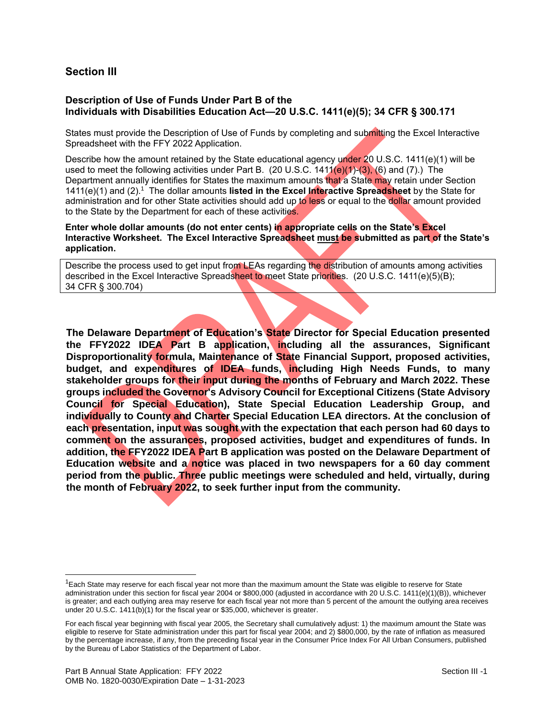## **Section III**

### **Description of Use of Funds Under Part B of the Individuals with Disabilities Education Act—20 U.S.C. 1411(e)(5); 34 CFR § 300.171**

States must provide the Description of Use of Funds by completing and submitting the Excel Interactive Spreadsheet with the FFY 2022 Application.

Describe how the amount retained by the State educational agency under 20 U.S.C. 1411(e)(1) will be used to meet the following activities under Part B. (20 U.S.C. 1411(e)(1)-(3), (6) and (7).) The Department annually identifies for States the maximum amounts that a State may retain under Section 1411(e)(1) and (2).<sup>1</sup> The dollar amounts listed in the Excel Interactive Spreadsheet by the State for administration and for other State activities should add up to less or equal to the dollar amount provided to the State by the Department for each of these activities.

**Enter whole dollar amounts (do not enter cents) in appropriate cells on the State's Excel Interactive Worksheet. The Excel Interactive Spreadsheet must be submitted as part of the State's application.**

Describe the process used to get input from LEAs regarding the distribution of amounts among activities described in the Excel Interactive Spreadsheet to meet State priorities. (20 U.S.C. 1411(e)(5)(B); 34 CFR § 300.704)

**The Delaware Department of Education's State Director for Special Education presented the FFY2022 IDEA Part B application, including all the assurances, Significant Disproportionality formula, Maintenance of State Financial Support, proposed activities, budget, and expenditures of IDEA funds, including High Needs Funds, to many stakeholder groups for their input during the months of February and March 2022. These groups included the Governor's Advisory Council for Exceptional Citizens (State Advisory Council for Special Education), State Special Education Leadership Group, and individually to County and Charter Special Education LEA directors. At the conclusion of each presentation, input was sought with the expectation that each person had 60 days to comment on the assurances, proposed activities, budget and expenditures of funds. In addition, the FFY2022 IDEA Part B application was posted on the Delaware Department of Education website and a notice was placed in two newspapers for a 60 day comment period from the public. Three public meetings were scheduled and held, virtually, during the month of February 2022, to seek further input from the community.** 

l

 $1$ Each State may reserve for each fiscal year not more than the maximum amount the State was eligible to reserve for State administration under this section for fiscal year 2004 or \$800,000 (adjusted in accordance with 20 U.S.C. 1411(e)(1)(B)), whichever is greater; and each outlying area may reserve for each fiscal year not more than 5 percent of the amount the outlying area receives under 20 U.S.C. 1411(b)(1) for the fiscal year or \$35,000, whichever is greater.

For each fiscal year beginning with fiscal year 2005, the Secretary shall cumulatively adjust: 1) the maximum amount the State was eligible to reserve for State administration under this part for fiscal year 2004; and 2) \$800,000, by the rate of inflation as measured by the percentage increase, if any, from the preceding fiscal year in the Consumer Price Index For All Urban Consumers, published by the Bureau of Labor Statistics of the Department of Labor.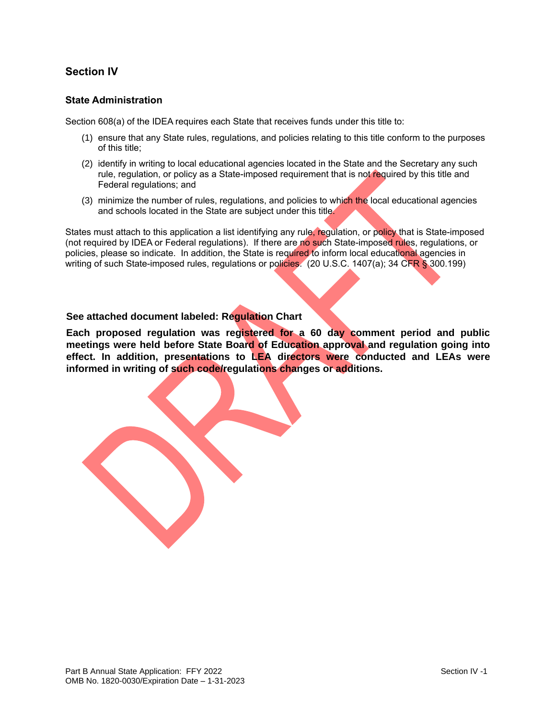# **Section IV**

### **State Administration**

Section 608(a) of the IDEA requires each State that receives funds under this title to:

- (1) ensure that any State rules, regulations, and policies relating to this title conform to the purposes of this title;
- (2) identify in writing to local educational agencies located in the State and the Secretary any such rule, regulation, or policy as a State-imposed requirement that is not required by this title and Federal regulations; and
- (3) minimize the number of rules, regulations, and policies to which the local educational agencies and schools located in the State are subject under this title.

States must attach to this application a list identifying any rule, regulation, or policy that is State-imposed (not required by IDEA or Federal regulations). If there are no such State-imposed rules, regulations, or policies, please so indicate. In addition, the State is required to inform local educational agencies in writing of such State-imposed rules, regulations or policies. (20 U.S.C. 1407(a); 34 CFR § 300.199)

### **See attached document labeled: Regulation Chart**

**Each proposed regulation was registered for a 60 day comment period and public meetings were held before State Board of Education approval and regulation going into effect. In addition, presentations to LEA directors were conducted and LEAs were informed in writing of such code/regulations changes or additions.**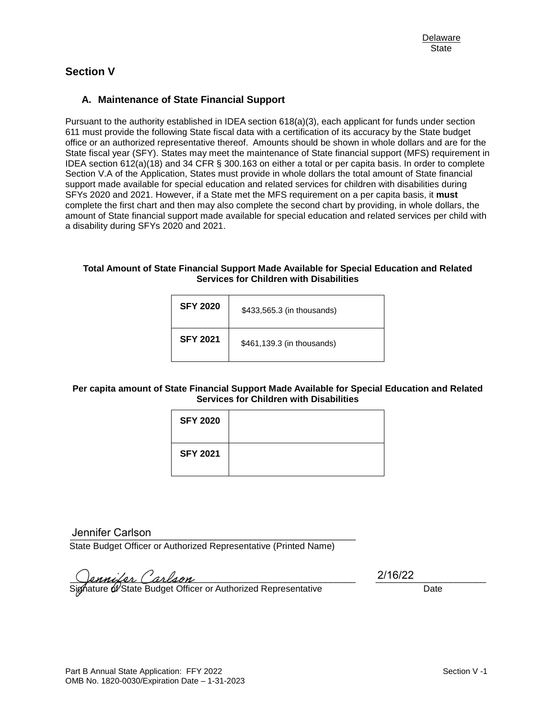# **Section V**

### **A. Maintenance of State Financial Support**

Pursuant to the authority established in IDEA section 618(a)(3), each applicant for funds under section 611 must provide the following State fiscal data with a certification of its accuracy by the State budget office or an authorized representative thereof. Amounts should be shown in whole dollars and are for the State fiscal year (SFY). States may meet the maintenance of State financial support (MFS) requirement in IDEA section 612(a)(18) and 34 CFR § 300.163 on either a total or per capita basis. In order to complete Section V.A of the Application, States must provide in whole dollars the total amount of State financial support made available for special education and related services for children with disabilities during SFYs 2020 and 2021. However, if a State met the MFS requirement on a per capita basis, it **must** complete the first chart and then may also complete the second chart by providing, in whole dollars, the amount of State financial support made available for special education and related services per child with a disability during SFYs 2020 and 2021.

#### **Total Amount of State Financial Support Made Available for Special Education and Related Services for Children with Disabilities**

| <b>SFY 2020</b> | \$433,565.3 (in thousands) |
|-----------------|----------------------------|
| <b>SFY 2021</b> | \$461,139.3 (in thousands) |

### **Per capita amount of State Financial Support Made Available for Special Education and Related Services for Children with Disabilities**

| <b>SFY 2020</b> |  |
|-----------------|--|
| <b>SFY 2021</b> |  |

\_\_\_\_\_\_\_\_\_\_\_\_\_\_\_\_\_\_\_\_\_\_\_\_\_\_\_\_\_\_\_\_\_\_\_\_\_\_\_\_\_\_\_\_\_\_\_\_\_\_\_\_\_\_\_\_\_ Jennifer Carlson

State Budget Officer or Authorized Representative (Printed Name)

 $Qanular (arlaso$ 

Signature of State Budget Officer or Authorized Representative Date Date

2/16/22